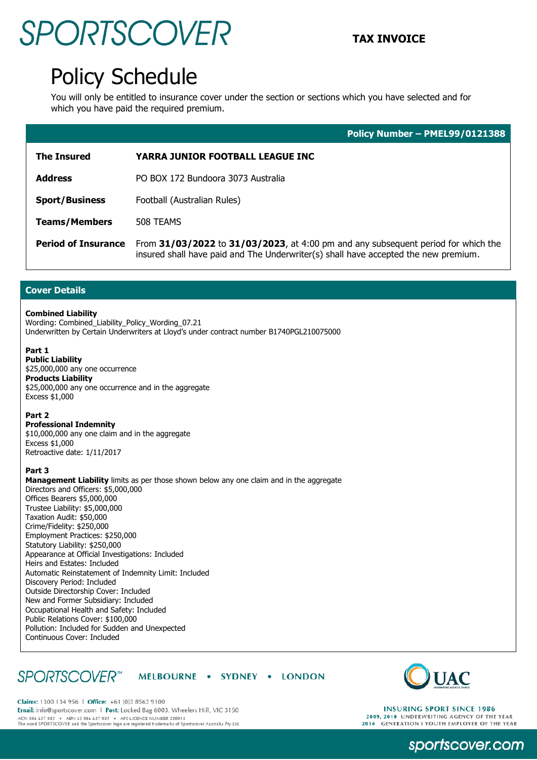## SPORTSCOVER TAX INVOICE

## Policy Schedule

You will only be entitled to insurance cover under the section or sections which you have selected and for which you have paid the required premium.

|                            | Policy Number - PMEL99/0121388                                                                                                                                           |
|----------------------------|--------------------------------------------------------------------------------------------------------------------------------------------------------------------------|
| <b>The Insured</b>         | YARRA JUNIOR FOOTBALL LEAGUE INC                                                                                                                                         |
| <b>Address</b>             | PO BOX 172 Bundoora 3073 Australia                                                                                                                                       |
| <b>Sport/Business</b>      | Football (Australian Rules)                                                                                                                                              |
| <b>Teams/Members</b>       | 508 TEAMS                                                                                                                                                                |
| <b>Period of Insurance</b> | From 31/03/2022 to 31/03/2023, at 4:00 pm and any subsequent period for which the<br>insured shall have paid and The Underwriter(s) shall have accepted the new premium. |

### **Cover Details**

#### **Combined Liability**

Wording: Combined\_Liability\_Policy\_Wording\_07.21 Underwritten by Certain Underwriters at Lloyd's under contract number B1740PGL210075000

### **Part 1**

**Public Liability** \$25,000,000 any one occurrence **Products Liability** \$25,000,000 any one occurrence and in the aggregate Excess \$1,000

#### **Part 2**

**Professional Indemnity** \$10,000,000 any one claim and in the aggregate Excess \$1,000 Retroactive date: 1/11/2017

#### **Part 3**

**Management Liability** limits as per those shown below any one claim and in the aggregate Directors and Officers: \$5,000,000 Offices Bearers \$5,000,000 Trustee Liability: \$5,000,000 Taxation Audit: \$50,000 Crime/Fidelity: \$250,000 Employment Practices: \$250,000 Statutory Liability: \$250,000 Appearance at Official Investigations: Included Heirs and Estates: Included Automatic Reinstatement of Indemnity Limit: Included Discovery Period: Included Outside Directorship Cover: Included New and Former Subsidiary: Included Occupational Health and Safety: Included Public Relations Cover: \$100,000 Pollution: Included for Sudden and Unexpected Continuous Cover: Included

#### **SPORTSCOVER**<sup>™</sup> MELBOURNE . SYDNEY . LONDON



Claims: 1300 134 956 | Office: +61 (0)3 8562 9100 Email: info@sportscover.com | Post: Locked Bag 6003, Wheelers Hill, VIC 3150 ACN 006 637 903 ABN 43 006 637 903 AFS LICENCE NUMBER 230914<br>The word SPORTSCOVER and the Sportscover logo are registered trademarks of Sportscover Australia Pty Ltd.

**INSURING SPORT SINCE 1986** 2009, 2010 UNDERWRITING AGENCY OF THE YEAR<br>2014 GENERATION I YOUTH EMPLOYER OF THE YEAR

sportscover.com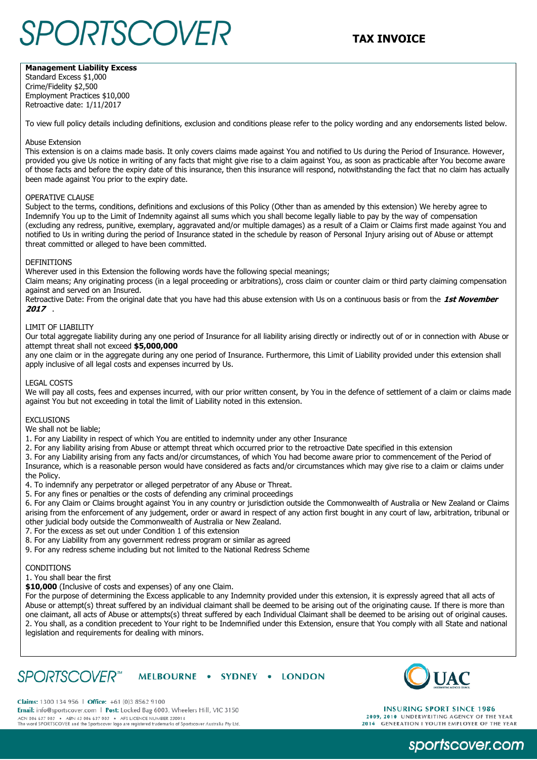# **TAX INVOICE**

### **Management Liability Excess**

Standard Excess \$1,000 Crime/Fidelity \$2,500 Employment Practices \$10,000 Retroactive date: 1/11/2017

To view full policy details including definitions, exclusion and conditions please refer to the policy wording and any endorsements listed below.

#### Abuse Extension

This extension is on a claims made basis. It only covers claims made against You and notified to Us during the Period of Insurance. However, provided you give Us notice in writing of any facts that might give rise to a claim against You, as soon as practicable after You become aware of those facts and before the expiry date of this insurance, then this insurance will respond, notwithstanding the fact that no claim has actually been made against You prior to the expiry date.

#### OPERATIVE CLAUSE

Subject to the terms, conditions, definitions and exclusions of this Policy (Other than as amended by this extension) We hereby agree to Indemnify You up to the Limit of Indemnity against all sums which you shall become legally liable to pay by the way of compensation (excluding any redress, punitive, exemplary, aggravated and/or multiple damages) as a result of a Claim or Claims first made against You and notified to Us in writing during the period of Insurance stated in the schedule by reason of Personal Injury arising out of Abuse or attempt threat committed or alleged to have been committed.

#### **DEFINITIONS**

Wherever used in this Extension the following words have the following special meanings;

Claim means; Any originating process (in a legal proceeding or arbitrations), cross claim or counter claim or third party claiming compensation against and served on an Insured.

Retroactive Date: From the original date that you have had this abuse extension with Us on a continuous basis or from the **1st November 2017** .

#### LIMIT OF LIABILITY

Our total aggregate liability during any one period of Insurance for all liability arising directly or indirectly out of or in connection with Abuse or attempt threat shall not exceed **\$5,000,000**

any one claim or in the aggregate during any one period of Insurance. Furthermore, this Limit of Liability provided under this extension shall apply inclusive of all legal costs and expenses incurred by Us.

#### LEGAL COSTS

We will pay all costs, fees and expenses incurred, with our prior written consent, by You in the defence of settlement of a claim or claims made against You but not exceeding in total the limit of Liability noted in this extension.

#### EXCLUSIONS

We shall not be liable;

- 1. For any Liability in respect of which You are entitled to indemnity under any other Insurance
- 2. For any liability arising from Abuse or attempt threat which occurred prior to the retroactive Date specified in this extension

3. For any Liability arising from any facts and/or circumstances, of which You had become aware prior to commencement of the Period of Insurance, which is a reasonable person would have considered as facts and/or circumstances which may give rise to a claim or claims under the Policy.

4. To indemnify any perpetrator or alleged perpetrator of any Abuse or Threat.

5. For any fines or penalties or the costs of defending any criminal proceedings

6. For any Claim or Claims brought against You in any country or jurisdiction outside the Commonwealth of Australia or New Zealand or Claims arising from the enforcement of any judgement, order or award in respect of any action first bought in any court of law, arbitration, tribunal or other judicial body outside the Commonwealth of Australia or New Zealand.

7. For the excess as set out under Condition 1 of this extension

- 8. For any Liability from any government redress program or similar as agreed
- 9. For any redress scheme including but not limited to the National Redress Scheme

#### CONDITIONS

1. You shall bear the first

**\$10,000** (Inclusive of costs and expenses) of any one Claim.

For the purpose of determining the Excess applicable to any Indemnity provided under this extension, it is expressly agreed that all acts of Abuse or attempt(s) threat suffered by an individual claimant shall be deemed to be arising out of the originating cause. If there is more than one claimant, all acts of Abuse or attempts(s) threat suffered by each Individual Claimant shall be deemed to be arising out of original causes. 2. You shall, as a condition precedent to Your right to be Indemnified under this Extension, ensure that You comply with all State and national legislation and requirements for dealing with minors.

#### *SPORTSCOVER*<sup>™</sup> MELBOURNE . SYDNEY . LONDON



Claims: 1300 134 956 | Office: +61 (0)3 8562 9100 Email: info@sportscover.com | Post: Locked Bag 6003, Wheelers Hill, VIC 3150 ACN 006 637 903 ABN 43 006 637 903 AFS LICENCE NUMBER 230914<br>The word SPORTSCOVER and the Sportscover logo are registered trademarks of Sportscover Australia Pty Ltd.

**INSURING SPORT SINCE 1986** 2009, 2010 UNDERWRITING AGENCY OF THE YEAR 2014 GENERATION I YOUTH EMPLOYER OF THE YEAR